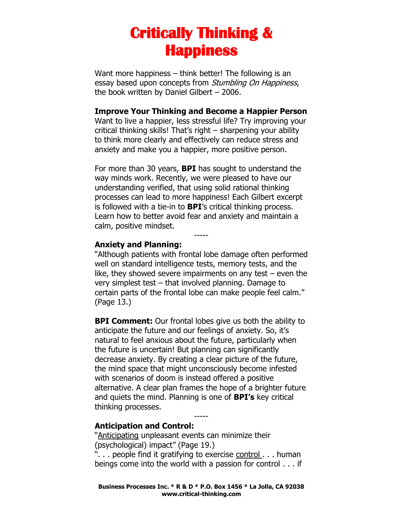# **Critically Thinking & Happiness**

Want more happiness – think better! The following is an essay based upon concepts from *Stumbling On Happiness*, the book written by Daniel Gilbert – 2006.

#### **Improve Your Thinking and Become a Happier Person**

Want to live a happier, less stressful life? Try improving your critical thinking skills! That's right – sharpening your ability to think more clearly and effectively can reduce stress and anxiety and make you a happier, more positive person.

For more than 30 years, **BPI** has sought to understand the way minds work. Recently, we were pleased to have our understanding verified, that using solid rational thinking processes can lead to more happiness! Each Gilbert excerpt is followed with a tie-in to **BPI**'s critical thinking process. Learn how to better avoid fear and anxiety and maintain a calm, positive mindset.

-----

### **Anxiety and Planning:**

"Although patients with frontal lobe damage often performed well on standard intelligence tests, memory tests, and the like, they showed severe impairments on any test – even the very simplest test – that involved planning. Damage to certain parts of the frontal lobe can make people feel calm." (Page 13.)

**BPI Comment:** Our frontal lobes give us both the ability to anticipate the future and our feelings of anxiety. So, it's natural to feel anxious about the future, particularly when the future is uncertain! But planning can significantly decrease anxiety. By creating a clear picture of the future, the mind space that might unconsciously become infested with scenarios of doom is instead offered a positive alternative. A clear plan frames the hope of a brighter future and quiets the mind. Planning is one of **BPI's** key critical thinking processes.

-----

### **Anticipation and Control:**

"Anticipating unpleasant events can minimize their (psychological) impact" (Page 19.) ". . . people find it gratifying to exercise control . . . human

beings come into the world with a passion for control . . . if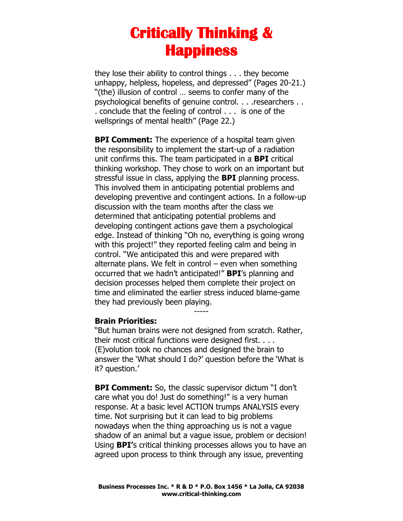### **Critically Thinking & Happiness**

they lose their ability to control things . . . they become unhappy, helpless, hopeless, and depressed" (Pages 20-21.) "(the) illusion of control … seems to confer many of the psychological benefits of genuine control. . . .researchers . . . conclude that the feeling of control . . . is one of the wellsprings of mental health" (Page 22.)

**BPI Comment:** The experience of a hospital team given the responsibility to implement the start-up of a radiation unit confirms this. The team participated in a **BPI** critical thinking workshop. They chose to work on an important but stressful issue in class, applying the **BPI** planning process. This involved them in anticipating potential problems and developing preventive and contingent actions. In a follow-up discussion with the team months after the class we determined that anticipating potential problems and developing contingent actions gave them a psychological edge. Instead of thinking "Oh no, everything is going wrong with this project!" they reported feeling calm and being in control. "We anticipated this and were prepared with alternate plans. We felt in control  $-$  even when something occurred that we hadn't anticipated!" **BPI**'s planning and decision processes helped them complete their project on time and eliminated the earlier stress induced blame-game they had previously been playing.

#### **Brain Priorities:**

"But human brains were not designed from scratch. Rather, their most critical functions were designed first. . . . (E)volution took no chances and designed the brain to answer the 'What should I do?' question before the 'What is it? question.'

-----

**BPI Comment:** So, the classic supervisor dictum "I don't care what you do! Just do something!" is a very human response. At a basic level ACTION trumps ANALYSIS every time. Not surprising but it can lead to big problems nowadays when the thing approaching us is not a vague shadow of an animal but a vague issue, problem or decision! Using **BPI'**s critical thinking processes allows you to have an agreed upon process to think through any issue, preventing